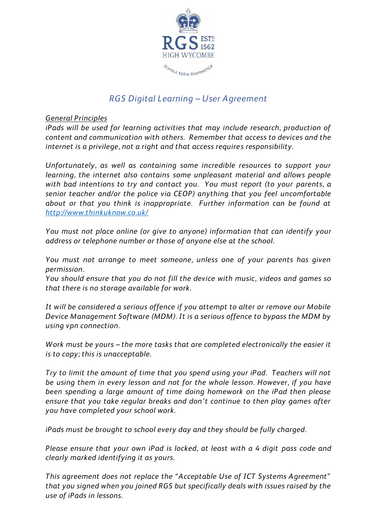

# *RGS Digital Learning – User Agreement*

*General Principles*

*iPads will be used for learning activities that may include research, production of content and communication with others. Remember that access to devices and the internet is a privilege, not a right and that access requires responsibility.*

*Unfortunately, as well as containing some incredible resources to support your learning, the internet also contains some unpleasant material and allows people with bad intentions to try and contact you. You must report (to your parents, a senior teacher and/or the police via CEOP) anything that you feel uncomfortable about or that you think is inappropriate. Further information can be found at <http://www.thinkuknow.co.uk/>*

*You must not place online (or give to anyone) information that can identify your address or telephone number or those of anyone else at the school.*

*You must not arrange to meet someone, unless one of your parents has given permission.*

*You should ensure that you do not fill the device with music, videos and games so that there is no storage available for work.*

*It will be considered a serious offence if you attempt to alter or remove our Mobile Device Management Software (MDM). It is a serious offence to bypass the MDM by using vpn connection.*

*Work must be yours – the more tasks that are completed electronically the easier it is to copy; this is unacceptable.*

*Try to limit the amount of time that you spend using your iPad. Teachers will not be using them in every lesson and not for the whole lesson. However, if you have been spending a large amount of time doing homework on the iPad then please ensure that you take regular breaks and don't continue to then play games after you have completed your school work.*

*iPads must be brought to school every day and they should be fully charged.*

*Please ensure that your own iPad is locked, at least with a 4 digit pass code and clearly marked identifying it as yours.*

*This agreement does not replace the "Acceptable Use of ICT Systems Agreement" that you signed when you joined RGS but specifically deals with issues raised by the use of iPads in lessons.*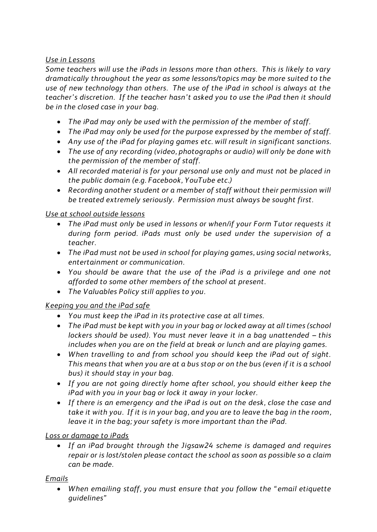### *Use in Lessons*

*Some teachers will use the iPads in lessons more than others. This is likely to vary dramatically throughout the year as some lessons/topics may be more suited to the use of new technology than others. The use of the iPad in school is always at the teacher's discretion. If the teacher hasn't asked you to use the iPad then it should be in the closed case in your bag.*

- *The iPad may only be used with the permission of the member of staff.*
- *The iPad may only be used for the purpose expressed by the member of staff.*
- *Any use of the iPad for playing games etc. will result in significant sanctions.*
- *The use of any recording (video, photographs or audio) will only be done with the permission of the member of staff.*
- *All recorded material is for your personal use only and must not be placed in the public domain (e.g. Facebook, YouTube etc.)*
- *Recording another student or a member of staff without their permission will be treated extremely seriously. Permission must always be sought first.*

### *Use at school outside lessons*

- *The iPad must only be used in lessons or when/if your Form Tutor requests it during form period. iPads must only be used under the supervision of a teacher.*
- *The iPad must not be used in school for playing games, using social networks, entertainment or communication.*
- *You should be aware that the use of the iPad is a privilege and one not afforded to some other members of the school at present.*
- *The Valuables Policy still applies to you.*

## *Keeping you and the iPad safe*

- *You must keep the iPad in its protective case at all times.*
- *The iPad must be kept with you in your bag or locked away at all times (school lockers should be used). You must never leave it in a bag unattended – this includes when you are on the field at break or lunch and are playing games.*
- *When travelling to and from school you should keep the iPad out of sight. This means that when you are at a bus stop or on the bus (even if it is a school bus) it should stay in your bag.*
- *If you are not going directly home after school, you should either keep the iPad with you in your bag or lock it away in your locker.*
- *If there is an emergency and the iPad is out on the desk, close the case and take it with you. If it is in your bag, and you are to leave the bag in the room, leave it in the bag; your safety is more important than the iPad.*

#### *Loss or damage to iPads*

 *If an iPad brought through the Jigsaw24 scheme is damaged and requires repair or is lost/stolen please contact the school as soon as possible so a claim can be made.*

#### *Emails*

 *When emailing staff, you must ensure that you follow the " email etiquette guidelines"*